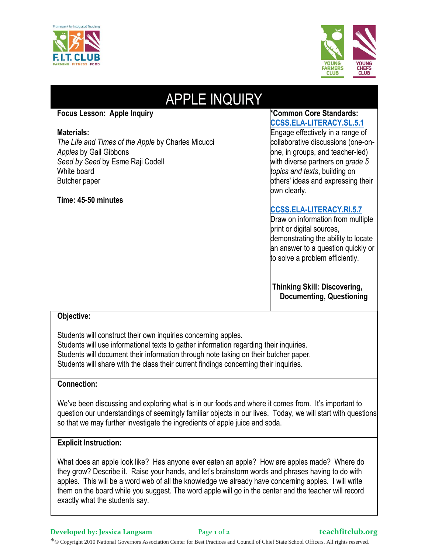



# APPLE INQUIRY

#### **Focus Lesson: Apple Inquiry**

#### **Materials:**

*The Life and Times of the Apple* by Charles Micucci *Apples* by Gail Gibbons *Seed by Seed* by Esme Raji Codell White board Butcher paper

### **Time: 45-50 minutes**

# **\*Common Core Standards: [CCSS.ELA-LITERACY.SL.5.1](http://www.corestandards.org/ELA-Literacy/SL/5/1/)**

Engage effectively in a range of collaborative discussions (one-onone, in groups, and teacher-led) with diverse partners on *grade 5 topics and texts*, building on others' ideas and expressing their own clearly.

# **[CCSS.ELA-LITERACY.RI.5.7](http://www.corestandards.org/ELA-Literacy/RI/5/7/)**

Draw on information from multiple print or digital sources, demonstrating the ability to locate an answer to a question quickly or to solve a problem efficiently.

**Thinking Skill: Discovering, Documenting, Questioning**

#### **Objective:**

Students will construct their own inquiries concerning apples. Students will use informational texts to gather information regarding their inquiries. Students will document their information through note taking on their butcher paper. Students will share with the class their current findings concerning their inquiries.

#### **Connection:**

We've been discussing and exploring what is in our foods and where it comes from. It's important to question our understandings of seemingly familiar objects in our lives. Today, we will start with questions so that we may further investigate the ingredients of apple juice and soda.

#### **Explicit Instruction:**

What does an apple look like? Has anyone ever eaten an apple? How are apples made? Where do they grow? Describe it. Raise your hands, and let's brainstorm words and phrases having to do with apples. This will be a word web of all the knowledge we already have concerning apples. I will write them on the board while you suggest. The word apple will go in the center and the teacher will record exactly what the students say.

**Developed by: Jessica Langsam** Page **1** of **2 teachfitclub.org**

\*© Copyright 2010 National Governors Association Center for Best Practices and Council of Chief State School Officers. All rights reserved.